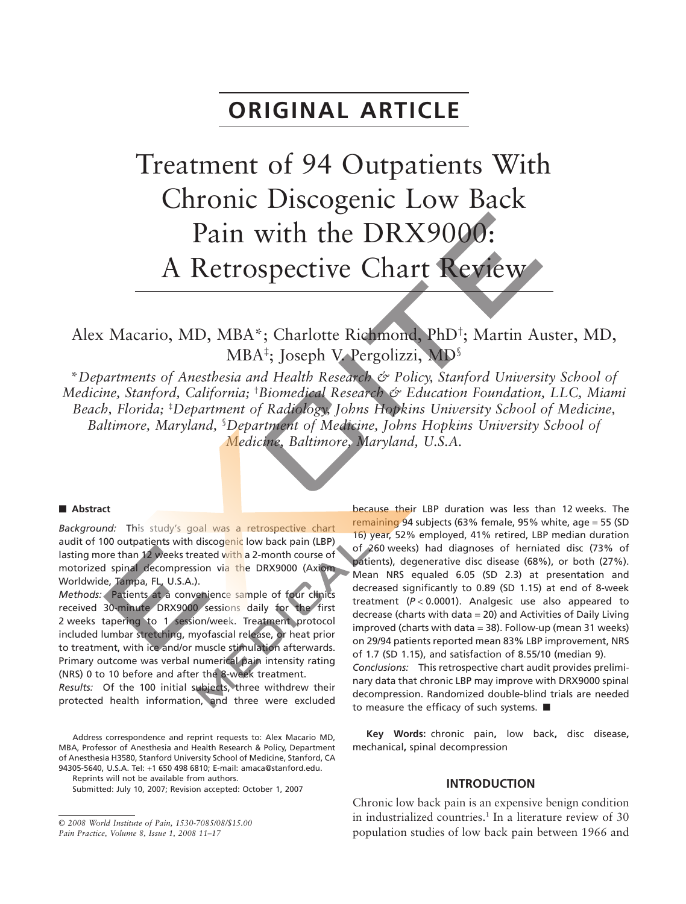## **ORIGINAL ARTICLE**

# Treatment of 94 Outpatients With Chronic Discogenic Low Back Pain with the DRX9000: A Retrospective Chart Review

Alex Macario, MD, MBA\*; Charlotte Richmond, PhD† ; Martin Auster, MD, MBA‡ ; Joseph V. Pergolizzi, MD§

\**Departments of Anesthesia and Health Research & Policy, Stanford University School of Medicine, Stanford, California;* † *Biomedical Research & Education Foundation, LLC, Miami Beach, Florida;* ‡ *Department of Radiology, Johns Hopkins University School of Medicine, Baltimore, Maryland,* § *Department of Medicine, Johns Hopkins University School of Medicine, Baltimore, Maryland, U.S.A.*

#### **- Abstract**

*Background:* This study's goal was a retrospective chart audit of 100 outpatients with discogenic low back pain (LBP) lasting more than 12 weeks treated with a 2-month course of motorized spinal decompression via the DRX9000 (Axiom Worldwide, Tampa, FL, U.S.A.).

*Methods:* Patients at a convenience sample of four clinics received 30-minute DRX9000 sessions daily for the first 2 weeks tapering to 1 session/week. Treatment protocol included lumbar stretching, myofascial release, or heat prior to treatment, with ice and/or muscle stimulation afterwards. Primary outcome was verbal numerical pain intensity rating (NRS) 0 to 10 before and after the 8-week treatment.

*Results:* Of the 100 initial subjects, three withdrew their protected health information, and three were excluded

Address correspondence and reprint requests to: Alex Macario MD, MBA, Professor of Anesthesia and Health Research & Policy, Department of Anesthesia H3580, Stanford University School of Medicine, Stanford, CA 94305-5640, U.S.A. Tel: +1 650 498 6810; E-mail: [amaca@stanford.edu.](mailto:amaca@stanford.edu)

Reprints will not be available from authors.

Submitted: July 10, 2007; Revision accepted: October 1, 2007

because their LBP duration was less than 12 weeks. The remaining 94 subjects (63% female, 95% white, age = 55 (SD 16) year, 52% employed, 41% retired, LBP median duration of 260 weeks) had diagnoses of herniated disc (73% of patients), degenerative disc disease (68%), or both (27%). Mean NRS equaled 6.05 (SD 2.3) at presentation and decreased significantly to 0.89 (SD 1.15) at end of 8-week treatment (*P* < 0.0001). Analgesic use also appeared to decrease (charts with  $data = 20$ ) and Activities of Daily Living improved (charts with data = 38). Follow-up (mean 31 weeks) on 29/94 patients reported mean 83% LBP improvement, NRS of 1.7 (SD 1.15), and satisfaction of 8.55/10 (median 9).

*Conclusions:* This retrospective chart audit provides preliminary data that chronic LBP may improve with DRX9000 spinal decompression. Randomized double-blind trials are needed to measure the efficacy of such systems.  $\blacksquare$ 

**Key Words:** chronic pain**,** low back**,** disc disease**,** mechanical**,** spinal decompression

#### **INTRODUCTION**

Chronic low back pain is an expensive benign condition in industrialized countries.<sup>1</sup> In a literature review of  $30$ population studies of low back pain between 1966 and

<sup>©</sup> *2008 World Institute of Pain, 1530-7085/08/\$15.00 Pain Practice, Volume 8, Issue 1, 2008 11–17*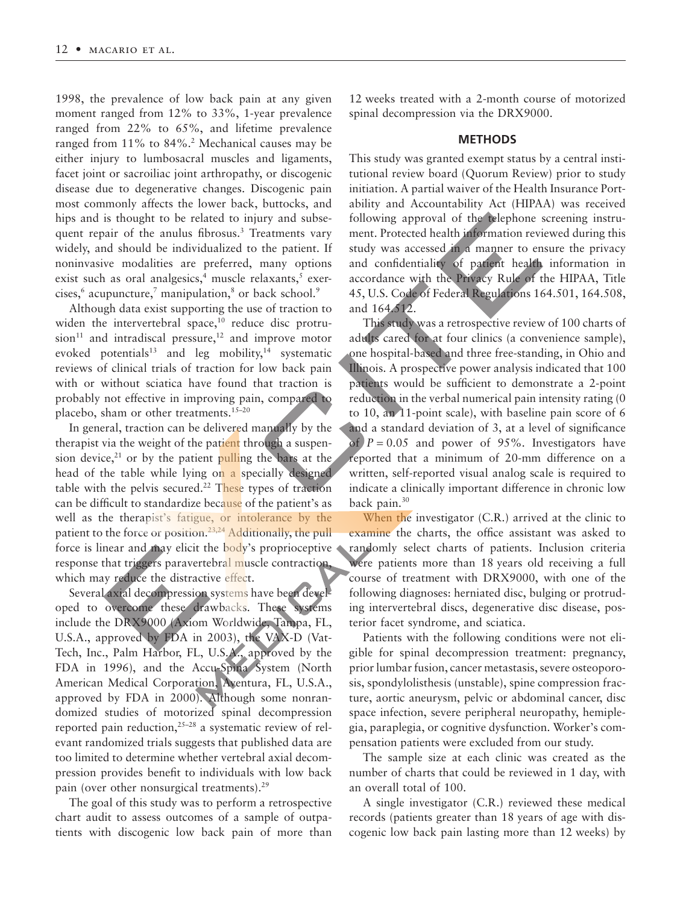1998, the prevalence of low back pain at any given moment ranged from 12% to 33%, 1-year prevalence ranged from 22% to 65%, and lifetime prevalence ranged from 11% to 84%.<sup>2</sup> Mechanical causes may be either injury to lumbosacral muscles and ligaments, facet joint or sacroiliac joint arthropathy, or discogenic disease due to degenerative changes. Discogenic pain most commonly affects the lower back, buttocks, and hips and is thought to be related to injury and subsequent repair of the anulus fibrosus.<sup>3</sup> Treatments vary widely, and should be individualized to the patient. If noninvasive modalities are preferred, many options exist such as oral analgesics,<sup>4</sup> muscle relaxants, $5$  exercises, $6$  acupuncture, $7$  manipulation, $8$  or back school. $9$ 

Although data exist supporting the use of traction to widen the intervertebral space, $10$  reduce disc protru $sion<sup>11</sup>$  and intradiscal pressure,<sup>12</sup> and improve motor evoked potentials<sup>13</sup> and leg mobility,<sup>14</sup> systematic reviews of clinical trials of traction for low back pain with or without sciatica have found that traction is probably not effective in improving pain, compared to placebo, sham or other treatments.<sup>15-20</sup>

In general, traction can be delivered manually by the therapist via the weight of the patient through a suspension device, $^{21}$  or by the patient pulling the bars at the head of the table while lying on a specially designed table with the pelvis secured.<sup>22</sup> These types of traction can be difficult to standardize because of the patient's as well as the therapist's fatigue, or intolerance by the patient to the force or position.<sup>23,24</sup> Additionally, the pull force is linear and may elicit the body's proprioceptive response that triggers paravertebral muscle contraction which may reduce the distractive effect.

Several axial decompression systems have been developed to overcome these drawbacks. These systems include the DRX9000 (Axiom Worldwide, Tampa, FL, U.S.A., approved by FDA in 2003), the VAX-D (Vat-Tech, Inc., Palm Harbor, FL, U.S.A., approved by the FDA in 1996), and the Accu-Spina System (North American Medical Corporation, Aventura, FL, U.S.A., approved by FDA in 2000). Although some nonrandomized studies of motorized spinal decompression reported pain reduction, $25-28$  a systematic review of relevant randomized trials suggests that published data are too limited to determine whether vertebral axial decompression provides benefit to individuals with low back pain (over other nonsurgical treatments).<sup>29</sup>

The goal of this study was to perform a retrospective chart audit to assess outcomes of a sample of outpatients with discogenic low back pain of more than

12 weeks treated with a 2-month course of motorized spinal decompression via the DRX9000.

#### **METHODS**

This study was granted exempt status by a central institutional review board (Quorum Review) prior to study initiation. A partial waiver of the Health Insurance Portability and Accountability Act (HIPAA) was received following approval of the telephone screening instrument. Protected health information reviewed during this study was accessed in a manner to ensure the privacy and confidentiality of patient health information in accordance with the Privacy Rule of the HIPAA, Title 45, U.S. Code of Federal Regulations 164.501, 164.508, and 164.512.

This study was a retrospective review of 100 charts of adults cared for at four clinics (a convenience sample), one hospital-based and three free-standing, in Ohio and Illinois. A prospective power analysis indicated that 100 patients would be sufficient to demonstrate a 2-point reduction in the verbal numerical pain intensity rating (0 to 10, an 11-point scale), with baseline pain score of 6 and a standard deviation of 3, at a level of significance of  $P = 0.05$  and power of 95%. Investigators have reported that a minimum of 20-mm difference on a written, self-reported visual analog scale is required to indicate a clinically important difference in chronic low back pain.<sup>30</sup>

When the investigator (C.R.) arrived at the clinic to examine the charts, the office assistant was asked to randomly select charts of patients. Inclusion criteria were patients more than 18 years old receiving a full course of treatment with DRX9000, with one of the following diagnoses: herniated disc, bulging or protruding intervertebral discs, degenerative disc disease, posterior facet syndrome, and sciatica.

Patients with the following conditions were not eligible for spinal decompression treatment: pregnancy, prior lumbar fusion, cancer metastasis, severe osteoporosis, spondylolisthesis (unstable), spine compression fracture, aortic aneurysm, pelvic or abdominal cancer, disc space infection, severe peripheral neuropathy, hemiplegia, paraplegia, or cognitive dysfunction. Worker's compensation patients were excluded from our study.

The sample size at each clinic was created as the number of charts that could be reviewed in 1 day, with an overall total of 100.

A single investigator (C.R.) reviewed these medical records (patients greater than 18 years of age with discogenic low back pain lasting more than 12 weeks) by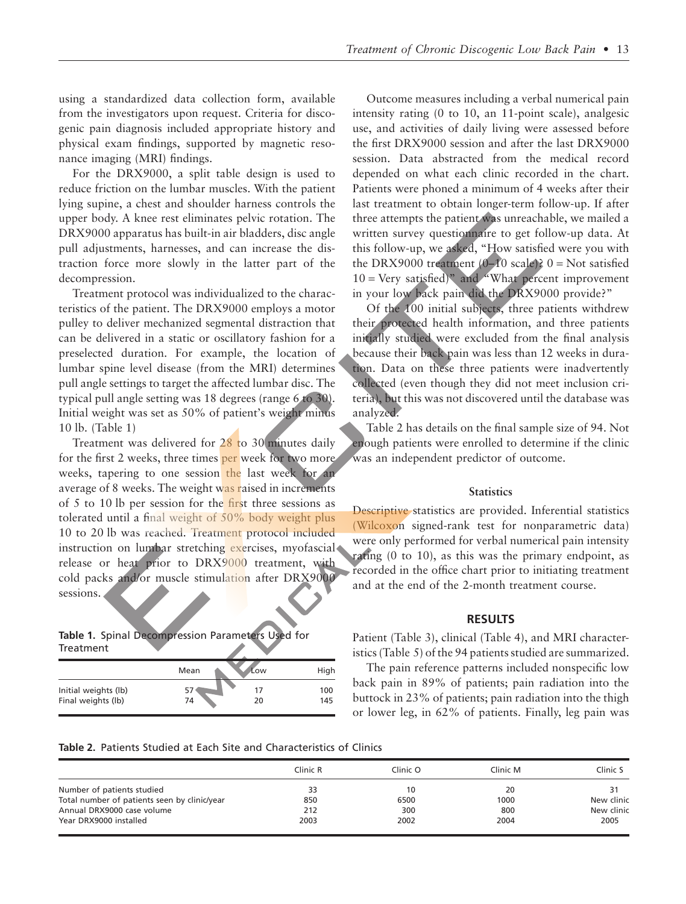using a standardized data collection form, available from the investigators upon request. Criteria for discogenic pain diagnosis included appropriate history and physical exam findings, supported by magnetic resonance imaging (MRI) findings.

For the DRX9000, a split table design is used to reduce friction on the lumbar muscles. With the patient lying supine, a chest and shoulder harness controls the upper body. A knee rest eliminates pelvic rotation. The DRX9000 apparatus has built-in air bladders, disc angle pull adjustments, harnesses, and can increase the distraction force more slowly in the latter part of the decompression.

Treatment protocol was individualized to the characteristics of the patient. The DRX9000 employs a motor pulley to deliver mechanized segmental distraction that can be delivered in a static or oscillatory fashion for a preselected duration. For example, the location of lumbar spine level disease (from the MRI) determines pull angle settings to target the affected lumbar disc. The typical pull angle setting was 18 degrees (range 6 to 30). Initial weight was set as 50% of patient's weight minus 10 lb. (Table 1)

Treatment was delivered for 28 to 30 minutes daily for the first 2 weeks, three times per week for two more weeks, tapering to one session the last week for an average of 8 weeks. The weight was raised in increments of 5 to 10 lb per session for the first three sessions as tolerated until a final weight of 50% body weight plus 10 to 20 lb was reached. Treatment protocol included instruction on lumbar stretching exercises, myofascial release or heat prior to DRX9000 treatment, with cold packs and/or muscle stimulation after DRX9000 sessions.

**Table 1.** Spinal Decompression Parameters Used for Treatment

|                                            | Mean | Ľow      | High       |
|--------------------------------------------|------|----------|------------|
| Initial weights (lb)<br>Final weights (lb) | 74   | 17<br>20 | 100<br>145 |

Outcome measures including a verbal numerical pain intensity rating (0 to 10, an 11-point scale), analgesic use, and activities of daily living were assessed before the first DRX9000 session and after the last DRX9000 session. Data abstracted from the medical record depended on what each clinic recorded in the chart. Patients were phoned a minimum of 4 weeks after their last treatment to obtain longer-term follow-up. If after three attempts the patient was unreachable, we mailed a written survey questionnaire to get follow-up data. At this follow-up, we asked, "How satisfied were you with the DRX9000 treatment  $(0-10 \text{ scale})$ ? 0 = Not satisfied  $10 = \text{Very satisfied}$ " and "What percent improvement" in your low back pain did the DRX9000 provide?"

Of the 100 initial subjects, three patients withdrew their protected health information, and three patients initially studied were excluded from the final analysis because their back pain was less than 12 weeks in duration. Data on these three patients were inadvertently collected (even though they did not meet inclusion criteria), but this was not discovered until the database was analyzed.

Table 2 has details on the final sample size of 94. Not enough patients were enrolled to determine if the clinic was an independent predictor of outcome.

#### **Statistics**

Descriptive statistics are provided. Inferential statistics (Wilcoxon signed-rank test for nonparametric data) were only performed for verbal numerical pain intensity rating (0 to 10), as this was the primary endpoint, as recorded in the office chart prior to initiating treatment and at the end of the 2-month treatment course.

#### **RESULTS**

Patient (Table 3), clinical (Table 4), and MRI characteristics (Table 5) of the 94 patients studied are summarized.

The pain reference patterns included nonspecific low back pain in 89% of patients; pain radiation into the buttock in 23% of patients; pain radiation into the thigh or lower leg, in 62% of patients. Finally, leg pain was

#### **Table 2.** Patients Studied at Each Site and Characteristics of Clinics

|                                              | Clinic R | Clinic O | Clinic M | Clinic S   |
|----------------------------------------------|----------|----------|----------|------------|
| Number of patients studied                   | 33       | 10       | 20       | 31         |
| Total number of patients seen by clinic/year | 850      | 6500     | 1000     | New clinic |
| Annual DRX9000 case volume                   | 212      | 300      | 800      | New clinic |
| Year DRX9000 installed                       | 2003     | 2002     | 2004     | 2005       |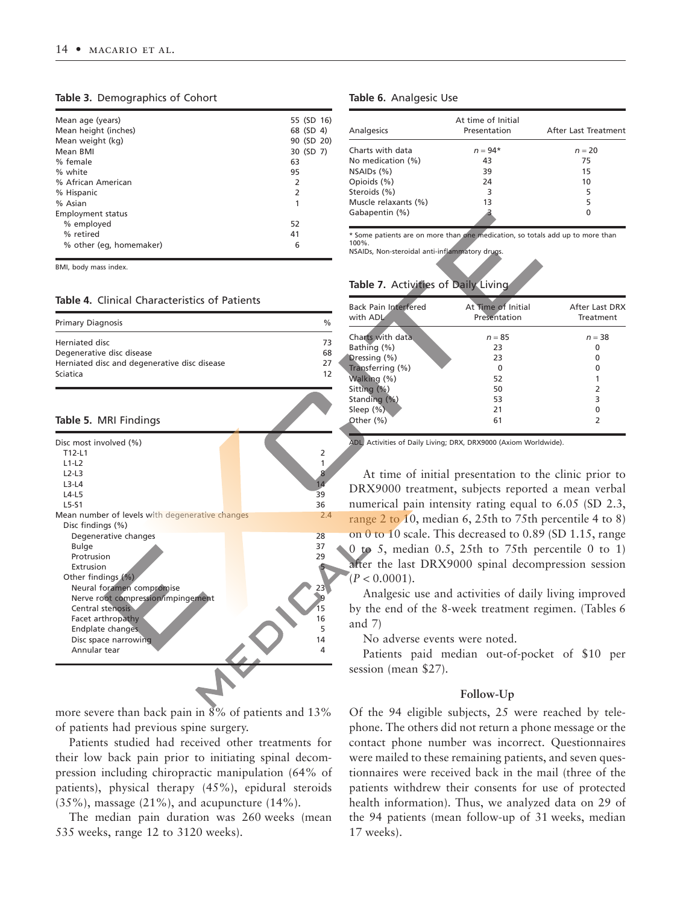#### **Table 3.** Demographics of Cohort

| Mean age (years)         | 55 (SD 16) |  |
|--------------------------|------------|--|
| Mean height (inches)     | 68 (SD 4)  |  |
| Mean weight (kg)         | 90 (SD 20) |  |
| Mean BMI                 | 30 (SD 7)  |  |
| % female                 | 63         |  |
| % white                  | 95         |  |
| % African American       | 2          |  |
| % Hispanic               | 2          |  |
| % Asian                  | 1          |  |
| <b>Employment status</b> |            |  |
| % employed               | 52         |  |
| % retired                | 41         |  |
| % other (eg, homemaker)  | 6          |  |
|                          |            |  |

BMI, body mass index.

#### **Table 4.** Clinical Characteristics of Patients

| <b>Primary Diagnosis</b>                     | $\%$ |
|----------------------------------------------|------|
| Herniated disc                               | 73   |
| Degenerative disc disease                    | 68   |
| Herniated disc and degenerative disc disease | 27   |
| Sciatica                                     | 12   |

#### **Table 5.** MRI Findings

| Disc most involved (%)<br>T12-I1                | 2   |
|-------------------------------------------------|-----|
| $L1-L2$                                         |     |
|                                                 |     |
| $L2-L3$                                         | 8   |
| $L3-L4$                                         | 14  |
| $L4-L5$                                         | 39  |
| $L5-S1$                                         | 36  |
| Mean number of levels with degenerative changes | 2.4 |
| Disc findings (%)                               |     |
| Degenerative changes                            | 28  |
| <b>Bulge</b>                                    | 37  |
| Protrusion                                      | 29  |
| Extrusion                                       |     |
| Other findings (%)                              |     |
| Neural foramen compromise                       | 23  |
| Nerve root compression/impingement              |     |
| Central stenosis                                | 15  |
|                                                 | 16  |
| Facet arthropathy                               |     |
| Endplate changes                                | 5   |
| Disc space narrowing                            | 14  |
| Annular tear                                    | 4   |
|                                                 |     |
|                                                 |     |

more severe than back pain in  $8\%$  of patients and 13% of patients had previous spine surgery.

Patients studied had received other treatments for their low back pain prior to initiating spinal decompression including chiropractic manipulation (64% of patients), physical therapy (45%), epidural steroids  $(35\%)$ , massage  $(21\%)$ , and acupuncture  $(14\%)$ .

The median pain duration was 260 weeks (mean 535 weeks, range 12 to 3120 weeks).

#### **Table 6.** Analgesic Use

| Analgesics           | At time of Initial<br>Presentation | After Last Treatment |
|----------------------|------------------------------------|----------------------|
| Charts with data     | $n = 94*$                          | $n = 20$             |
| No medication (%)    | 43                                 | 75                   |
| NSAIDs (%)           | 39                                 | 15                   |
| Opioids (%)          | 24                                 | 10                   |
| Steroids (%)         | 3                                  | 5                    |
| Muscle relaxants (%) | 13                                 | 5                    |
| Gabapentin (%)       |                                    | 0                    |

\* Some patients are on more than one medication, so totals add up to more than 100%. NSAIDs, Non-steroidal anti-inflammatory drugs.

#### **Table 7.** Activities of Daily Living

| <b>Back Pain Interfered</b><br>with ADL | At Time of Initial<br>Presentation | After Last DRX<br>Treatment |
|-----------------------------------------|------------------------------------|-----------------------------|
| Charts with data                        | $n = 85$                           | $n = 38$                    |
| Bathing (%)                             | 23                                 | O                           |
| Dressing (%)                            | 23                                 | O                           |
| Transferring (%)                        | O                                  | O                           |
| Walking (%)                             | 52                                 |                             |
| Sitting (%)                             | 50                                 | 2                           |
| Standing (%)                            | 53                                 | 3                           |
| Sleep $(\%)$                            | 21                                 | O                           |
| Other (%)                               | 61                                 | 2                           |

ADL, Activities of Daily Living; DRX, DRX9000 (Axiom Worldwide).

At time of initial presentation to the clinic prior to DRX9000 treatment, subjects reported a mean verbal numerical pain intensity rating equal to 6.05 (SD 2.3, range 2 to 10, median 6, 25th to 75th percentile 4 to 8) on 0 to 10 scale. This decreased to 0.89 (SD 1.15, range 0 to 5, median 0.5, 25th to 75th percentile 0 to 1) after the last DRX9000 spinal decompression session  $(P < 0.0001)$ .

Analgesic use and activities of daily living improved by the end of the 8-week treatment regimen. (Tables 6 and 7)

No adverse events were noted.

Patients paid median out-of-pocket of \$10 per session (mean \$27).

#### **Follow-Up**

Of the 94 eligible subjects, 25 were reached by telephone. The others did not return a phone message or the contact phone number was incorrect. Questionnaires were mailed to these remaining patients, and seven questionnaires were received back in the mail (three of the patients withdrew their consents for use of protected health information). Thus, we analyzed data on 29 of the 94 patients (mean follow-up of 31 weeks, median 17 weeks).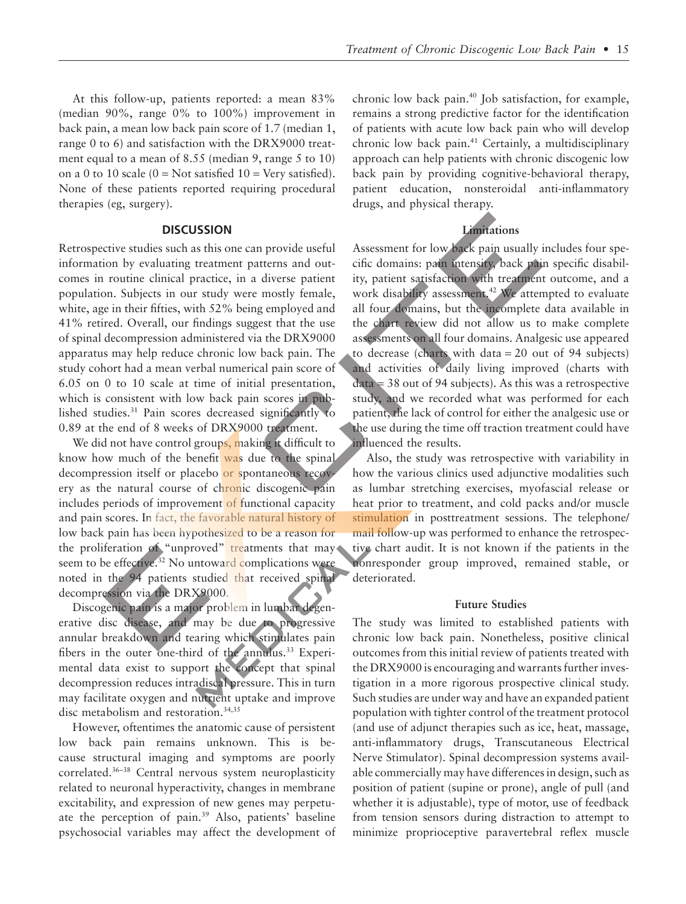At this follow-up, patients reported: a mean 83% (median 90%, range 0% to 100%) improvement in back pain, a mean low back pain score of 1.7 (median 1, range 0 to 6) and satisfaction with the DRX9000 treatment equal to a mean of 8.55 (median 9, range 5 to 10) on a 0 to 10 scale ( $0 = Not$  satisfied  $10 = Very$  satisfied). None of these patients reported requiring procedural therapies (eg, surgery).

#### **DISCUSSION**

Retrospective studies such as this one can provide useful information by evaluating treatment patterns and outcomes in routine clinical practice, in a diverse patient population. Subjects in our study were mostly female, white, age in their fifties, with 52% being employed and 41% retired. Overall, our findings suggest that the use of spinal decompression administered via the DRX9000 apparatus may help reduce chronic low back pain. The study cohort had a mean verbal numerical pain score of 6.05 on 0 to 10 scale at time of initial presentation, which is consistent with low back pain scores in published studies.<sup>31</sup> Pain scores decreased significantly to 0.89 at the end of 8 weeks of DRX9000 treatment.

We did not have control groups, making it difficult to know how much of the benefit was due to the spinal decompression itself or placebo or spontaneous recovery as the natural course of chronic discogenic pain includes periods of improvement of functional capacity and pain scores. In fact, the favorable natural history of low back pain has been hypothesized to be a reason for the proliferation of "unproved" treatments that may seem to be effective.<sup>32</sup> No untoward complications were noted in the 94 patients studied that received spinal decompression via the DRX9000.

Discogenic pain is a major problem in lumbar degenerative disc disease, and may be due to progressive annular breakdown and tearing which stimulates pain fibers in the outer one-third of the annulus.<sup>33</sup> Experimental data exist to support the concept that spinal decompression reduces intradiscal pressure. This in turn may facilitate oxygen and nutrient uptake and improve disc metabolism and restoration.<sup>34,35</sup>

However, oftentimes the anatomic cause of persistent low back pain remains unknown. This is because structural imaging and symptoms are poorly correlated.36–38 Central nervous system neuroplasticity related to neuronal hyperactivity, changes in membrane excitability, and expression of new genes may perpetuate the perception of pain.39 Also, patients' baseline psychosocial variables may affect the development of chronic low back pain.40 Job satisfaction, for example, remains a strong predictive factor for the identification of patients with acute low back pain who will develop chronic low back pain.41 Certainly, a multidisciplinary approach can help patients with chronic discogenic low back pain by providing cognitive-behavioral therapy, patient education, nonsteroidal anti-inflammatory drugs, and physical therapy.

### **Limitations**

Assessment for low back pain usually includes four specific domains: pain intensity, back pain specific disability, patient satisfaction with treatment outcome, and a work disability assessment.<sup>42</sup> We attempted to evaluate all four domains, but the incomplete data available in the chart review did not allow us to make complete assessments on all four domains. Analgesic use appeared to decrease (charts with data = 20 out of 94 subjects) and activities of daily living improved (charts with  $data = 38$  out of 94 subjects). As this was a retrospective study, and we recorded what was performed for each patient, the lack of control for either the analgesic use or the use during the time off traction treatment could have influenced the results.

Also, the study was retrospective with variability in how the various clinics used adjunctive modalities such as lumbar stretching exercises, myofascial release or heat prior to treatment, and cold packs and/or muscle stimulation in posttreatment sessions. The telephone/ mail follow-up was performed to enhance the retrospective chart audit. It is not known if the patients in the nonresponder group improved, remained stable, or deteriorated.

#### **Future Studies**

The study was limited to established patients with chronic low back pain. Nonetheless, positive clinical outcomes from this initial review of patients treated with the DRX9000 is encouraging and warrants further investigation in a more rigorous prospective clinical study. Such studies are under way and have an expanded patient population with tighter control of the treatment protocol (and use of adjunct therapies such as ice, heat, massage, anti-inflammatory drugs, Transcutaneous Electrical Nerve Stimulator). Spinal decompression systems available commercially may have differences in design, such as position of patient (supine or prone), angle of pull (and whether it is adjustable), type of motor, use of feedback from tension sensors during distraction to attempt to minimize proprioceptive paravertebral reflex muscle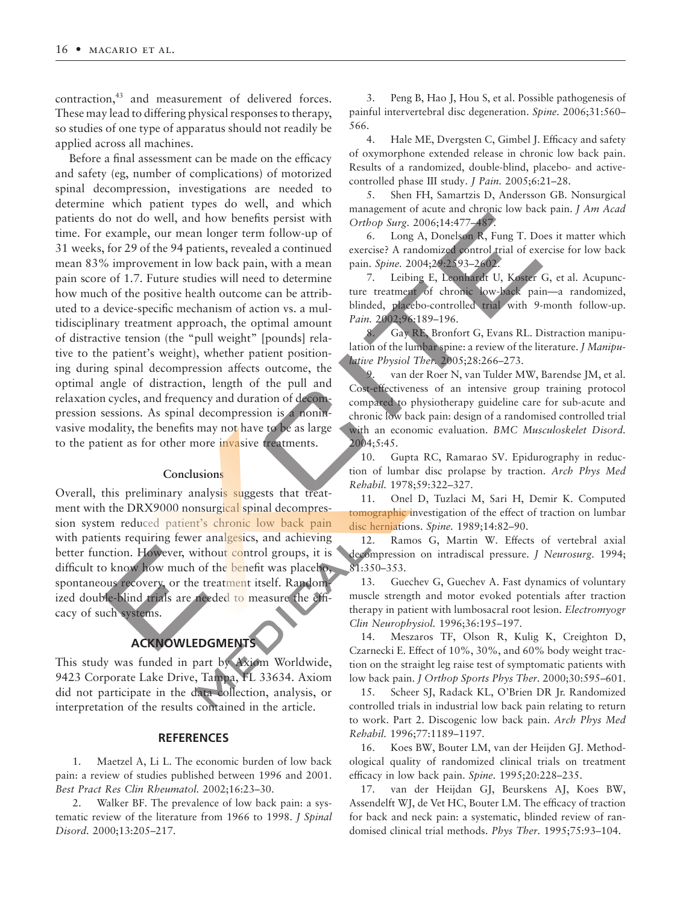contraction,<sup>43</sup> and measurement of delivered forces. These may lead to differing physical responses to therapy, so studies of one type of apparatus should not readily be applied across all machines.

Before a final assessment can be made on the efficacy and safety (eg, number of complications) of motorized spinal decompression, investigations are needed to determine which patient types do well, and which patients do not do well, and how benefits persist with time. For example, our mean longer term follow-up of 31 weeks, for 29 of the 94 patients, revealed a continued mean 83% improvement in low back pain, with a mean pain score of 1.7. Future studies will need to determine how much of the positive health outcome can be attributed to a device-specific mechanism of action vs. a multidisciplinary treatment approach, the optimal amount of distractive tension (the "pull weight" [pounds] relative to the patient's weight), whether patient positioning during spinal decompression affects outcome, the optimal angle of distraction, length of the pull and relaxation cycles, and frequency and duration of decompression sessions. As spinal decompression is a noninvasive modality, the benefits may not have to be as large to the patient as for other more invasive treatments.

#### **Conclusions**

Overall, this preliminary analysis suggests that treatment with the DRX9000 nonsurgical spinal decompression system reduced patient's chronic low back pain with patients requiring fewer analgesics, and achieving better function. However, without control groups, it is difficult to know how much of the benefit was placebo, spontaneous recovery, or the treatment itself. Randomized double-blind trials are needed to measure the efficacy of such systems.

## **ACKNOWLEDGMENTS**

This study was funded in part by Axiom Worldwide, 9423 Corporate Lake Drive, Tampa, FL 33634. Axiom did not participate in the data collection, analysis, or interpretation of the results contained in the article.

#### **REFERENCES**

1. Maetzel A, Li L. The economic burden of low back pain: a review of studies published between 1996 and 2001. *Best Pract Res Clin Rheumatol.* 2002;16:23–30.

2. Walker BF. The prevalence of low back pain: a systematic review of the literature from 1966 to 1998. *J Spinal Disord.* 2000;13:205–217.

3. Peng B, Hao J, Hou S, et al. Possible pathogenesis of painful intervertebral disc degeneration. *Spine.* 2006;31:560– 566.

4. Hale ME, Dvergsten C, Gimbel J. Efficacy and safety of oxymorphone extended release in chronic low back pain. Results of a randomized, double-blind, placebo- and activecontrolled phase III study. *J Pain.* 2005;6:21–28.

5. Shen FH, Samartzis D, Andersson GB. Nonsurgical management of acute and chronic low back pain. *J Am Acad Orthop Surg.* 2006;14:477–487.

6. Long A, Donelson R, Fung T. Does it matter which exercise? A randomized control trial of exercise for low back pain. *Spine.* 2004;29:2593–2602.

7. Leibing E, Leonhardt U, Koster G, et al. Acupuncture treatment of chronic low-back pain—a randomized, blinded, placebo-controlled trial with 9-month follow-up. *Pain.* 2002;96:189–196.

8. Gay RE, Bronfort G, Evans RL. Distraction manipulation of the lumbar spine: a review of the literature. *J Manipulative Physiol Ther.* 2005;28:266–273.

9. van der Roer N, van Tulder MW, Barendse JM, et al. Cost-effectiveness of an intensive group training protocol compared to physiotherapy guideline care for sub-acute and chronic low back pain: design of a randomised controlled trial with an economic evaluation. *BMC Musculoskelet Disord.* 2004;5:45.

10. Gupta RC, Ramarao SV. Epidurography in reduction of lumbar disc prolapse by traction. *Arch Phys Med Rehabil.* 1978;59:322–327.

11. Onel D, Tuzlaci M, Sari H, Demir K. Computed tomographic investigation of the effect of traction on lumbar disc herniations. *Spine.* 1989;14:82–90.

12. Ramos G, Martin W. Effects of vertebral axial decompression on intradiscal pressure. *J Neurosurg.* 1994; 81:350–353.

13. Guechev G, Guechev A. Fast dynamics of voluntary muscle strength and motor evoked potentials after traction therapy in patient with lumbosacral root lesion. *Electromyogr Clin Neurophysiol.* 1996;36:195–197.

14. Meszaros TF, Olson R, Kulig K, Creighton D, Czarnecki E. Effect of 10%, 30%, and 60% body weight traction on the straight leg raise test of symptomatic patients with low back pain. *J Orthop Sports Phys Ther.* 2000;30:595–601.

15. Scheer SJ, Radack KL, O'Brien DR Jr. Randomized controlled trials in industrial low back pain relating to return to work. Part 2. Discogenic low back pain. *Arch Phys Med Rehabil.* 1996;77:1189–1197.

16. Koes BW, Bouter LM, van der Heijden GJ. Methodological quality of randomized clinical trials on treatment efficacy in low back pain. *Spine.* 1995;20:228–235.

17. van der Heijdan GJ, Beurskens AJ, Koes BW, Assendelft WJ, de Vet HC, Bouter LM. The efficacy of traction for back and neck pain: a systematic, blinded review of randomised clinical trial methods. *Phys Ther.* 1995;75:93–104.